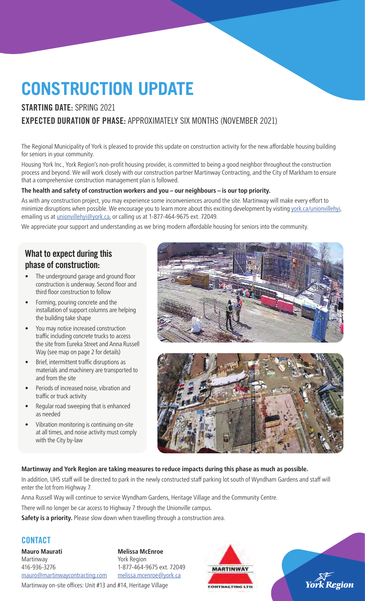# **CONSTRUCTION UPDATE**

## STARTING DATE: SPRING 2021 EXPECTED DURATION OF PHASE: APPROXIMATELY SIX MONTHS (NOVEMBER 2021)

The Regional Municipality of York is pleased to provide this update on construction activity for the new affordable housing building for seniors in your community.

Housing York Inc., York Region's non-profit housing provider, is committed to being a good neighbor throughout the construction process and beyond. We will work closely with our construction partner Martinway Contracting, and the City of Markham to ensure that a comprehensive construction management plan is followed.

#### **The health and safety of construction workers and you – our neighbours – is our top priority.**

As with any construction project, you may experience some inconveniences around the site. Martinway will make every effort to minimize disruptions when possible. We encourage you to learn more about this exciting development by visiting york.ca/unionvillehyi, emailing us at *unionvillehyi@york.ca*, or calling us at 1-877-464-9675 ext. 72049.

We appreciate your support and understanding as we bring modern affordable housing for seniors into the community.

## What to expect during this phase of construction:

- The underground garage and ground floor construction is underway. Second floor and third floor construction to follow
- Forming, pouring concrete and the installation of support columns are helping the building take shape
- You may notice increased construction traffic including concrete trucks to access the site from Eureka Street and Anna Russell Way (see map on page 2 for details)
- Brief, intermittent traffic disruptions as materials and machinery are transported to and from the site
- Periods of increased noise, vibration and traffic or truck activity
- Regular road sweeping that is enhanced as needed
- Vibration monitoring is continuing on-site at all times, and noise activity must comply with the City by-law





#### **Martinway and York Region are taking measures to reduce impacts during this phase as much as possible.**

In addition, UHS staff will be directed to park in the newly constructed staff parking lot south of Wyndham Gardens and staff will enter the lot from Highway 7.

Anna Russell Way will continue to service Wyndham Gardens, Heritage Village and the Community Centre.

There will no longer be car access to Highway 7 through the Unionville campus.

**Safety is a priority.** Please slow down when travelling through a construction area.

### **CONTACT**

**Mauro Maurati** Martinway 416-936-3276 mauro@martinwaycontracting.com

**Melissa McEnroe** York Region 1-877-464-9675 ext. 72049 melissa.mcenroe@york.ca





Martinway on-site offices: Unit #13 and #14, Heritage Village